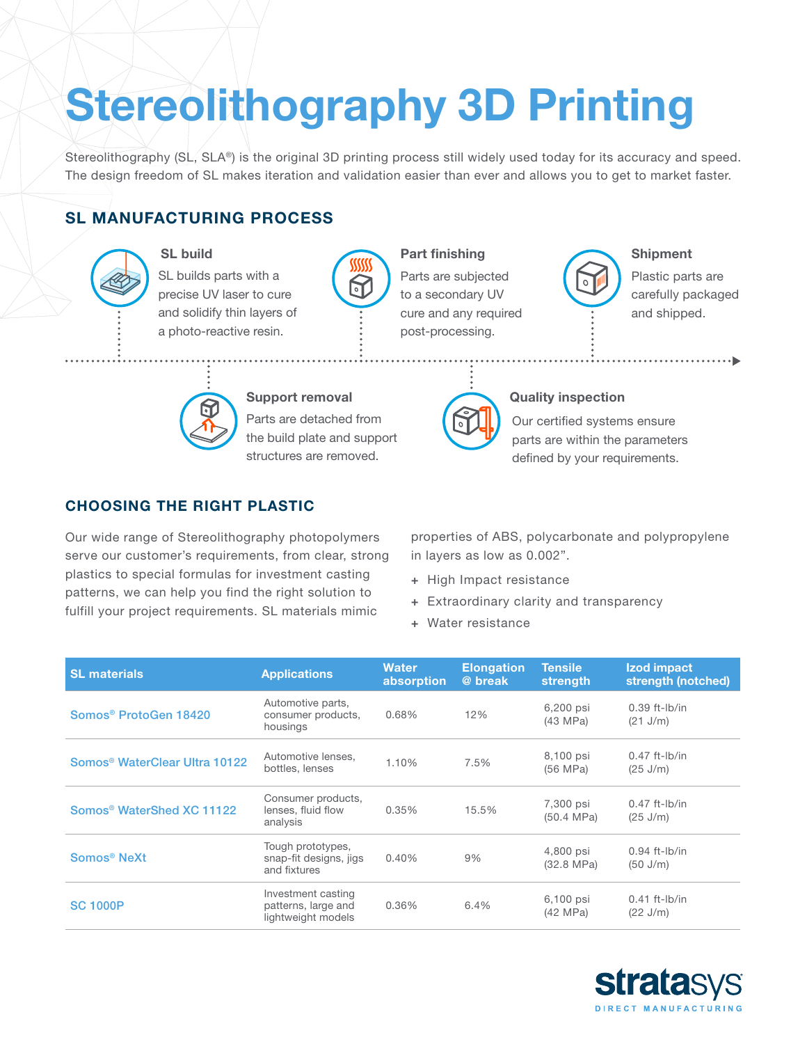# Stereolithography 3D Printing

Stereolithography (SL, SLA®) is the original 3D printing process still widely used today for its accuracy and speed. The design freedom of SL makes iteration and validation easier than ever and allows you to get to market faster.

# SL MANUFACTURING PROCESS



SL build

SL builds parts with a precise UV laser to cure and solidify thin layers of a photo-reactive resin.



## Part finishing

Parts are subjected to a secondary UV cure and any required post-processing.

Our certified systems ensure parts are within the parameters defined by your requirements.

### Shipment

Plastic parts are carefully packaged and shipped.



### Support removal

Parts are detached from the build plate and support structures are removed.

# CHOOSING THE RIGHT PLASTIC

Our wide range of Stereolithography photopolymers serve our customer's requirements, from clear, strong plastics to special formulas for investment casting patterns, we can help you find the right solution to fulfill your project requirements. SL materials mimic

properties of ABS, polycarbonate and polypropylene in layers as low as 0.002".

Quality inspection

- + High Impact resistance
- + Extraordinary clarity and transparency
- + Water resistance

| <b>SL materials</b>                       | <b>Applications</b>                                             | <b>Water</b><br>absorption | <b>Elongation</b><br>@ break | <b>Tensile</b><br>strength        | Izod impact<br>strength (notched)     |
|-------------------------------------------|-----------------------------------------------------------------|----------------------------|------------------------------|-----------------------------------|---------------------------------------|
| Somos <sup>®</sup> ProtoGen 18420         | Automotive parts,<br>consumer products,<br>housings             | 0.68%                      | 12%                          | 6,200 psi<br>(43 MPa)             | $0.39$ ft-lb/in<br>(21 J/m)           |
| Somos <sup>®</sup> WaterClear Ultra 10122 | Automotive lenses,<br>bottles, lenses                           | 1.10%                      | 7.5%                         | 8,100 psi<br>(56 MPa)             | $0.47$ ft-lb/in<br>(25 J/m)           |
| Somos <sup>®</sup> WaterShed XC 11122     | Consumer products,<br>lenses, fluid flow<br>analysis            | 0.35%                      | 15.5%                        | 7,300 psi<br>(50.4 MPa)           | $0.47$ ft-lb/in<br>$(25 \text{ J/m})$ |
| Somos <sup>®</sup> NeXt                   | Tough prototypes,<br>snap-fit designs, jigs<br>and fixtures     | 0.40%                      | 9%                           | 4,800 psi<br>$(32.8 \text{ MPa})$ | $0.94$ ft-lb/in<br>(50 J/m)           |
| <b>SC 1000P</b>                           | Investment casting<br>patterns, large and<br>lightweight models | 0.36%                      | 6.4%                         | 6,100 psi<br>(42 MPa)             | $0.41$ ft-lb/in<br>(22 J/m)           |